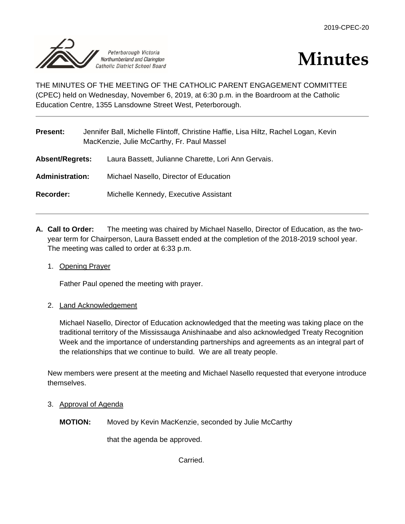



THE MINUTES OF THE MEETING OF THE CATHOLIC PARENT ENGAGEMENT COMMITTEE (CPEC) held on Wednesday, November 6, 2019, at 6:30 p.m. in the Boardroom at the Catholic Education Centre, 1355 Lansdowne Street West, Peterborough.

| <b>Present:</b>        | Jennifer Ball, Michelle Flintoff, Christine Haffie, Lisa Hiltz, Rachel Logan, Kevin<br>MacKenzie, Julie McCarthy, Fr. Paul Massel |                                                     |
|------------------------|-----------------------------------------------------------------------------------------------------------------------------------|-----------------------------------------------------|
| <b>Absent/Regrets:</b> |                                                                                                                                   | Laura Bassett, Julianne Charette, Lori Ann Gervais. |
| <b>Administration:</b> |                                                                                                                                   | Michael Nasello, Director of Education              |
| Recorder:              |                                                                                                                                   | Michelle Kennedy, Executive Assistant               |

- **A. Call to Order:** The meeting was chaired by Michael Nasello, Director of Education, as the twoyear term for Chairperson, Laura Bassett ended at the completion of the 2018-2019 school year. The meeting was called to order at 6:33 p.m.
	- 1. Opening Prayer

Father Paul opened the meeting with prayer.

2. Land Acknowledgement

Michael Nasello, Director of Education acknowledged that the meeting was taking place on the traditional territory of the Mississauga Anishinaabe and also acknowledged Treaty Recognition Week and the importance of understanding partnerships and agreements as an integral part of the relationships that we continue to build. We are all treaty people.

New members were present at the meeting and Michael Nasello requested that everyone introduce themselves.

- 3. Approval of Agenda
	- **MOTION:** Moved by Kevin MacKenzie, seconded by Julie McCarthy

that the agenda be approved.

Carried.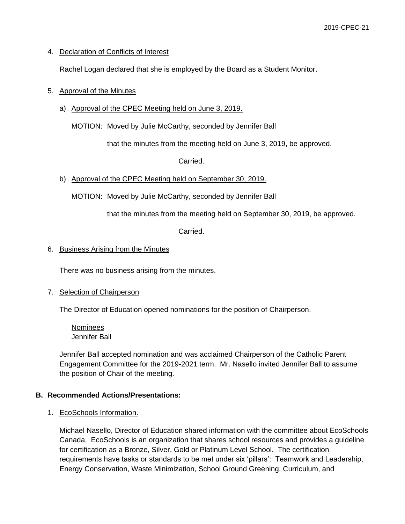## 4. Declaration of Conflicts of Interest

Rachel Logan declared that she is employed by the Board as a Student Monitor.

### 5. Approval of the Minutes

a) Approval of the CPEC Meeting held on June 3, 2019.

MOTION: Moved by Julie McCarthy, seconded by Jennifer Ball

that the minutes from the meeting held on June 3, 2019, be approved.

Carried.

b) Approval of the CPEC Meeting held on September 30, 2019.

MOTION: Moved by Julie McCarthy, seconded by Jennifer Ball

that the minutes from the meeting held on September 30, 2019, be approved.

Carried.

#### 6. Business Arising from the Minutes

There was no business arising from the minutes.

#### 7. Selection of Chairperson

The Director of Education opened nominations for the position of Chairperson.

Nominees Jennifer Ball

Jennifer Ball accepted nomination and was acclaimed Chairperson of the Catholic Parent Engagement Committee for the 2019-2021 term. Mr. Nasello invited Jennifer Ball to assume the position of Chair of the meeting.

#### **B. Recommended Actions/Presentations:**

#### 1. EcoSchools Information.

Michael Nasello, Director of Education shared information with the committee about EcoSchools Canada. EcoSchools is an organization that shares school resources and provides a guideline for certification as a Bronze, Silver, Gold or Platinum Level School. The certification requirements have tasks or standards to be met under six 'pillars': Teamwork and Leadership, Energy Conservation, Waste Minimization, School Ground Greening, Curriculum, and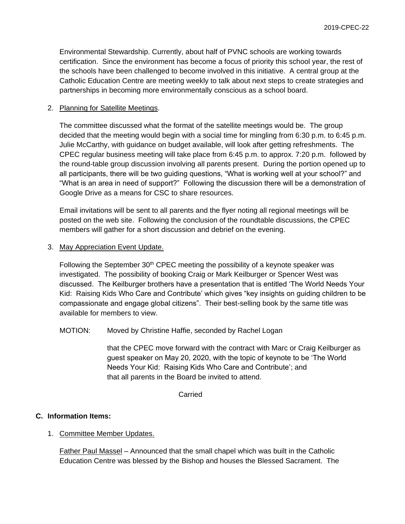Environmental Stewardship. Currently, about half of PVNC schools are working towards certification. Since the environment has become a focus of priority this school year, the rest of the schools have been challenged to become involved in this initiative. A central group at the Catholic Education Centre are meeting weekly to talk about next steps to create strategies and partnerships in becoming more environmentally conscious as a school board.

## 2. Planning for Satellite Meetings.

The committee discussed what the format of the satellite meetings would be. The group decided that the meeting would begin with a social time for mingling from 6:30 p.m. to 6:45 p.m. Julie McCarthy, with guidance on budget available, will look after getting refreshments. The CPEC regular business meeting will take place from 6:45 p.m. to approx. 7:20 p.m. followed by the round-table group discussion involving all parents present. During the portion opened up to all participants, there will be two guiding questions, "What is working well at your school?" and "What is an area in need of support?" Following the discussion there will be a demonstration of Google Drive as a means for CSC to share resources.

Email invitations will be sent to all parents and the flyer noting all regional meetings will be posted on the web site. Following the conclusion of the roundtable discussions, the CPEC members will gather for a short discussion and debrief on the evening.

3. May Appreciation Event Update.

Following the September  $30<sup>th</sup>$  CPEC meeting the possibility of a keynote speaker was investigated. The possibility of booking Craig or Mark Keilburger or Spencer West was discussed. The Keilburger brothers have a presentation that is entitled 'The World Needs Your Kid: Raising Kids Who Care and Contribute' which gives "key insights on guiding children to be compassionate and engage global citizens". Their best-selling book by the same title was available for members to view.

# MOTION: Moved by Christine Haffie, seconded by Rachel Logan

that the CPEC move forward with the contract with Marc or Craig Keilburger as guest speaker on May 20, 2020, with the topic of keynote to be 'The World Needs Your Kid: Raising Kids Who Care and Contribute'; and that all parents in the Board be invited to attend.

### Carried

# **C. Information Items:**

1. Committee Member Updates.

Father Paul Massel – Announced that the small chapel which was built in the Catholic Education Centre was blessed by the Bishop and houses the Blessed Sacrament. The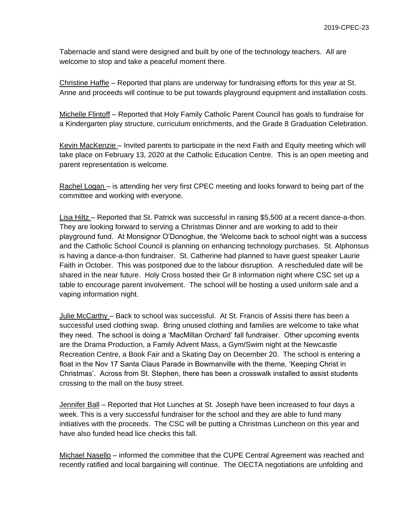Tabernacle and stand were designed and built by one of the technology teachers. All are welcome to stop and take a peaceful moment there.

Christine Haffie – Reported that plans are underway for fundraising efforts for this year at St. Anne and proceeds will continue to be put towards playground equipment and installation costs.

Michelle Flintoff – Reported that Holy Family Catholic Parent Council has goals to fundraise for a Kindergarten play structure, curriculum enrichments, and the Grade 8 Graduation Celebration.

Kevin MacKenzie – Invited parents to participate in the next Faith and Equity meeting which will take place on February 13, 2020 at the Catholic Education Centre. This is an open meeting and parent representation is welcome.

Rachel Logan – is attending her very first CPEC meeting and looks forward to being part of the committee and working with everyone.

Lisa Hiltz – Reported that St. Patrick was successful in raising \$5,500 at a recent dance-a-thon. They are looking forward to serving a Christmas Dinner and are working to add to their playground fund. At Monsignor O'Donoghue, the 'Welcome back to school night was a success and the Catholic School Council is planning on enhancing technology purchases. St. Alphonsus is having a dance-a-thon fundraiser. St. Catherine had planned to have guest speaker Laurie Faith in October. This was postponed due to the labour disruption. A rescheduled date will be shared in the near future. Holy Cross hosted their Gr 8 information night where CSC set up a table to encourage parent involvement. The school will be hosting a used uniform sale and a vaping information night.

Julie McCarthy – Back to school was successful. At St. Francis of Assisi there has been a successful used clothing swap. Bring unused clothing and families are welcome to take what they need. The school is doing a 'MacMillan Orchard' fall fundraiser. Other upcoming events are the Drama Production, a Family Advent Mass, a Gym/Swim night at the Newcastle Recreation Centre, a Book Fair and a Skating Day on December 20. The school is entering a float in the Nov 17 Santa Claus Parade in Bowmanville with the theme, 'Keeping Christ in Christmas'. Across from St. Stephen, there has been a crosswalk installed to assist students crossing to the mall on the busy street.

Jennifer Ball – Reported that Hot Lunches at St. Joseph have been increased to four days a week. This is a very successful fundraiser for the school and they are able to fund many initiatives with the proceeds. The CSC will be putting a Christmas Luncheon on this year and have also funded head lice checks this fall.

Michael Nasello – informed the committee that the CUPE Central Agreement was reached and recently ratified and local bargaining will continue. The OECTA negotiations are unfolding and